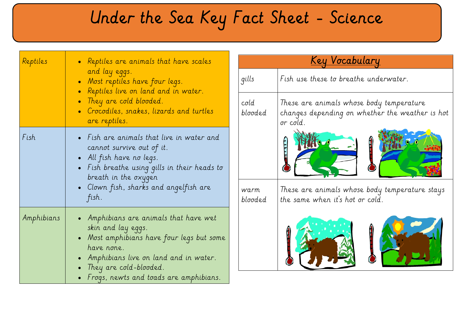# Under the Sea Key Fact Sheet - Science

| Reptiles   | • Reptiles are animals that have scales<br>and lay eggs.<br>• Most reptiles have four legs.<br>• Reptiles live on land and in water.<br>• They are cold blooded.<br>• Crocodiles, snakes, lizards and turtles<br>are reptiles.                     |
|------------|----------------------------------------------------------------------------------------------------------------------------------------------------------------------------------------------------------------------------------------------------|
| Fish       | • Fish are animals that live in water and<br>cannot survive out of it.<br>$\bullet$ All fish have no legs.<br>• Fish breathe using gills in their heads to<br>breath in the oxygen<br>• Clown fish, sharks and angelfish are<br>fish.              |
| Amphibians | - Amphibians are animals that have wet<br>skin and lay eggs.<br>• Most amphibians have four legs but some<br>have none.<br>• Amphibians live on land and in water.<br>• They are cold-blooded.<br>$\bullet$ Frogs, newts and toads are amphibians. |

| <u>Key Vocabulary</u>    |                                                                                                         |
|--------------------------|---------------------------------------------------------------------------------------------------------|
| qills                    | Fish use these to breathe underwater.                                                                   |
| $\text{cold}$<br>blooded | These are animals whose body temperature<br>changes depending on whether the weather is hot<br>or cold. |
| warm<br>blooded          | These are animals whose body temperature stays<br>the same when it's hot or cold.                       |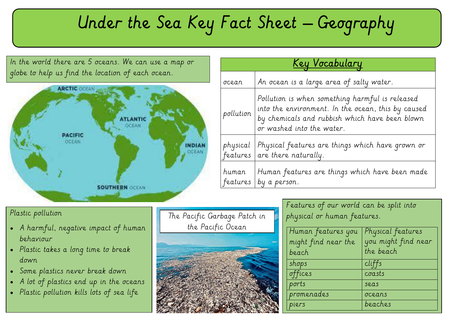## Under the Sea Key Fact Sheet – Geography

In the world there are 5 oceans. We can use a map or globe to help us find the location of each ocean.



| <u>Key Vocabulary</u> |                                                                                                                                                                                      |
|-----------------------|--------------------------------------------------------------------------------------------------------------------------------------------------------------------------------------|
| ocean                 | An ocean is a large area of salty water.                                                                                                                                             |
| pollution             | Pollution is when something harmful is released<br>into the environment. In the ocean, this by caused<br>by chemicals and rubbish which have been blown<br>or washed into the water. |
| physical<br>features  | Physical features are things which have grown or<br>are there naturally.                                                                                                             |
| human<br>features     | Human features are things which have been made<br>by a person.                                                                                                                       |

#### Plastic pollution

- A harmful, negative impact of human behaviour
- Plastic takes a long time to break down
- Some plastics never break down
- A lot of plastics end up in the oceans
- Plastic pollution kills lots of sea life

| The Pacific Garbage Patch in |
|------------------------------|
| the Pacific Ocean            |
|                              |
|                              |
|                              |
|                              |
|                              |
|                              |
|                              |
|                              |

| Features of our world can be split into |  |
|-----------------------------------------|--|
| physical or human features.             |  |

| Human features you  | Physical features   |  |
|---------------------|---------------------|--|
| might find near the | you might find near |  |
| beach               | the beach           |  |
| shops               | cliffs              |  |
| offices             | coasts              |  |
| ports               | seas                |  |
| promenades          | oceans              |  |
| piers               | beaches             |  |